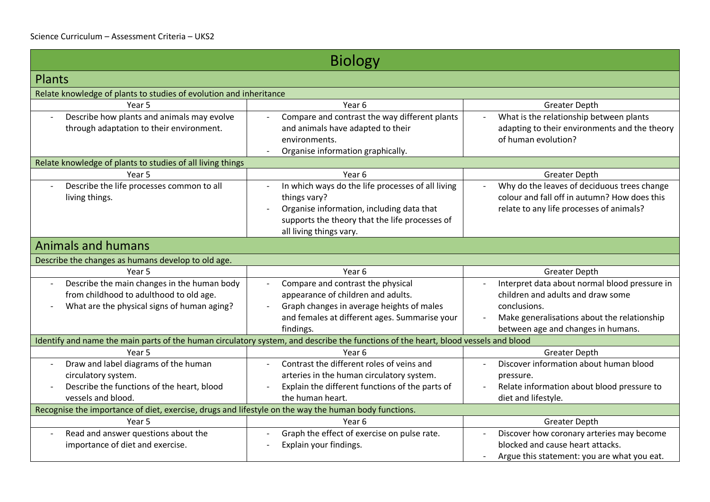| <b>Biology</b>                                                                                       |                                                                                                                                    |                                                                         |
|------------------------------------------------------------------------------------------------------|------------------------------------------------------------------------------------------------------------------------------------|-------------------------------------------------------------------------|
| <b>Plants</b>                                                                                        |                                                                                                                                    |                                                                         |
| Relate knowledge of plants to studies of evolution and inheritance                                   |                                                                                                                                    |                                                                         |
| Year 5                                                                                               | Year 6                                                                                                                             | <b>Greater Depth</b>                                                    |
| Describe how plants and animals may evolve                                                           | Compare and contrast the way different plants                                                                                      | What is the relationship between plants                                 |
| through adaptation to their environment.                                                             | and animals have adapted to their                                                                                                  | adapting to their environments and the theory                           |
|                                                                                                      | environments.                                                                                                                      | of human evolution?                                                     |
|                                                                                                      | Organise information graphically.                                                                                                  |                                                                         |
| Relate knowledge of plants to studies of all living things                                           |                                                                                                                                    |                                                                         |
| Year 5                                                                                               | Year <sub>6</sub>                                                                                                                  | <b>Greater Depth</b>                                                    |
| Describe the life processes common to all                                                            | In which ways do the life processes of all living                                                                                  | Why do the leaves of deciduous trees change                             |
| living things.                                                                                       | things vary?                                                                                                                       | colour and fall off in autumn? How does this                            |
|                                                                                                      | Organise information, including data that                                                                                          | relate to any life processes of animals?                                |
|                                                                                                      | supports the theory that the life processes of                                                                                     |                                                                         |
|                                                                                                      | all living things vary.                                                                                                            |                                                                         |
| <b>Animals and humans</b>                                                                            |                                                                                                                                    |                                                                         |
| Describe the changes as humans develop to old age.                                                   |                                                                                                                                    |                                                                         |
| Year 5                                                                                               | Year 6                                                                                                                             | <b>Greater Depth</b>                                                    |
| Describe the main changes in the human body                                                          | Compare and contrast the physical                                                                                                  | Interpret data about normal blood pressure in                           |
| from childhood to adulthood to old age.                                                              | appearance of children and adults.                                                                                                 | children and adults and draw some                                       |
| What are the physical signs of human aging?                                                          | Graph changes in average heights of males                                                                                          | conclusions.                                                            |
|                                                                                                      | and females at different ages. Summarise your                                                                                      | Make generalisations about the relationship<br>$\overline{\phantom{a}}$ |
|                                                                                                      | findings.                                                                                                                          | between age and changes in humans.                                      |
|                                                                                                      | Identify and name the main parts of the human circulatory system, and describe the functions of the heart, blood vessels and blood |                                                                         |
| Year 5                                                                                               | Year <sub>6</sub>                                                                                                                  | <b>Greater Depth</b>                                                    |
| Draw and label diagrams of the human                                                                 | Contrast the different roles of veins and                                                                                          | Discover information about human blood                                  |
| circulatory system.                                                                                  | arteries in the human circulatory system.                                                                                          | pressure.                                                               |
| Describe the functions of the heart, blood                                                           | Explain the different functions of the parts of                                                                                    | Relate information about blood pressure to                              |
| vessels and blood.                                                                                   | the human heart.                                                                                                                   | diet and lifestyle.                                                     |
| Recognise the importance of diet, exercise, drugs and lifestyle on the way the human body functions. |                                                                                                                                    |                                                                         |
| Year 5                                                                                               | Year 6                                                                                                                             | <b>Greater Depth</b>                                                    |
| Read and answer questions about the<br>$\overline{\phantom{a}}$                                      | Graph the effect of exercise on pulse rate.                                                                                        | Discover how coronary arteries may become                               |
| importance of diet and exercise.                                                                     | Explain your findings.                                                                                                             | blocked and cause heart attacks.                                        |
|                                                                                                      |                                                                                                                                    | Argue this statement: you are what you eat.                             |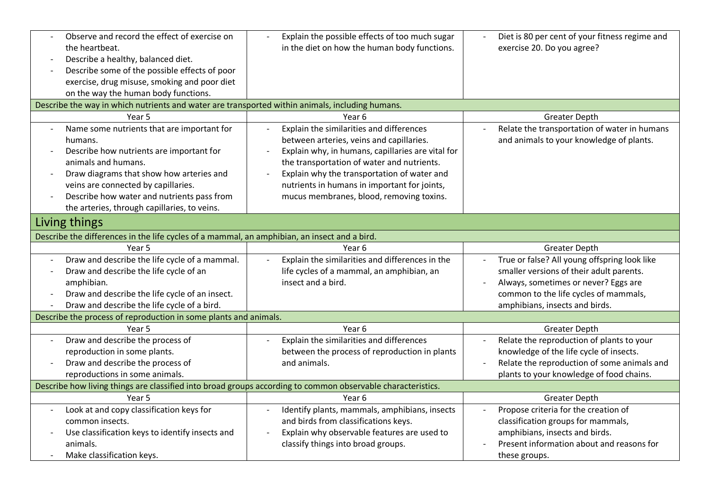| Observe and record the effect of exercise on<br>the heartbeat.<br>Describe a healthy, balanced diet.<br>$\overline{\phantom{a}}$<br>Describe some of the possible effects of poor<br>exercise, drug misuse, smoking and poor diet<br>on the way the human body functions.<br>Describe the way in which nutrients and water are transported within animals, including humans. | Explain the possible effects of too much sugar<br>in the diet on how the human body functions. | Diet is 80 per cent of your fitness regime and<br>exercise 20. Do you agree? |  |
|------------------------------------------------------------------------------------------------------------------------------------------------------------------------------------------------------------------------------------------------------------------------------------------------------------------------------------------------------------------------------|------------------------------------------------------------------------------------------------|------------------------------------------------------------------------------|--|
| Year 5                                                                                                                                                                                                                                                                                                                                                                       | Year 6                                                                                         |                                                                              |  |
|                                                                                                                                                                                                                                                                                                                                                                              |                                                                                                | <b>Greater Depth</b>                                                         |  |
| Name some nutrients that are important for                                                                                                                                                                                                                                                                                                                                   | Explain the similarities and differences                                                       | Relate the transportation of water in humans                                 |  |
| humans.                                                                                                                                                                                                                                                                                                                                                                      | between arteries, veins and capillaries.                                                       | and animals to your knowledge of plants.                                     |  |
| Describe how nutrients are important for                                                                                                                                                                                                                                                                                                                                     | Explain why, in humans, capillaries are vital for                                              |                                                                              |  |
| animals and humans.                                                                                                                                                                                                                                                                                                                                                          | the transportation of water and nutrients.                                                     |                                                                              |  |
| Draw diagrams that show how arteries and                                                                                                                                                                                                                                                                                                                                     | Explain why the transportation of water and                                                    |                                                                              |  |
| veins are connected by capillaries.<br>Describe how water and nutrients pass from                                                                                                                                                                                                                                                                                            | nutrients in humans in important for joints,                                                   |                                                                              |  |
| the arteries, through capillaries, to veins.                                                                                                                                                                                                                                                                                                                                 | mucus membranes, blood, removing toxins.                                                       |                                                                              |  |
|                                                                                                                                                                                                                                                                                                                                                                              |                                                                                                |                                                                              |  |
| Living things                                                                                                                                                                                                                                                                                                                                                                |                                                                                                |                                                                              |  |
| Describe the differences in the life cycles of a mammal, an amphibian, an insect and a bird.                                                                                                                                                                                                                                                                                 |                                                                                                |                                                                              |  |
| Year 5                                                                                                                                                                                                                                                                                                                                                                       | Year 6                                                                                         | <b>Greater Depth</b>                                                         |  |
| Draw and describe the life cycle of a mammal.                                                                                                                                                                                                                                                                                                                                | Explain the similarities and differences in the                                                | True or false? All young offspring look like                                 |  |
| Draw and describe the life cycle of an<br>$\overline{\phantom{a}}$                                                                                                                                                                                                                                                                                                           | life cycles of a mammal, an amphibian, an                                                      | smaller versions of their adult parents.                                     |  |
| amphibian.                                                                                                                                                                                                                                                                                                                                                                   | insect and a bird.                                                                             | Always, sometimes or never? Eggs are                                         |  |
| Draw and describe the life cycle of an insect.                                                                                                                                                                                                                                                                                                                               |                                                                                                | common to the life cycles of mammals,                                        |  |
| Draw and describe the life cycle of a bird.                                                                                                                                                                                                                                                                                                                                  |                                                                                                | amphibians, insects and birds.                                               |  |
| Describe the process of reproduction in some plants and animals.                                                                                                                                                                                                                                                                                                             |                                                                                                |                                                                              |  |
| Year 5                                                                                                                                                                                                                                                                                                                                                                       | Year 6                                                                                         | <b>Greater Depth</b>                                                         |  |
| Draw and describe the process of                                                                                                                                                                                                                                                                                                                                             | Explain the similarities and differences                                                       | Relate the reproduction of plants to your                                    |  |
| reproduction in some plants.                                                                                                                                                                                                                                                                                                                                                 | between the process of reproduction in plants                                                  | knowledge of the life cycle of insects.                                      |  |
| Draw and describe the process of                                                                                                                                                                                                                                                                                                                                             | and animals.                                                                                   | Relate the reproduction of some animals and                                  |  |
| reproductions in some animals.                                                                                                                                                                                                                                                                                                                                               |                                                                                                | plants to your knowledge of food chains.                                     |  |
| Describe how living things are classified into broad groups according to common observable characteristics.                                                                                                                                                                                                                                                                  |                                                                                                |                                                                              |  |
| Year 5                                                                                                                                                                                                                                                                                                                                                                       | Year 6                                                                                         | <b>Greater Depth</b>                                                         |  |
| Look at and copy classification keys for                                                                                                                                                                                                                                                                                                                                     | Identify plants, mammals, amphibians, insects                                                  | Propose criteria for the creation of<br>$\overline{a}$                       |  |
| common insects.                                                                                                                                                                                                                                                                                                                                                              | and birds from classifications keys.                                                           | classification groups for mammals,                                           |  |
| Use classification keys to identify insects and                                                                                                                                                                                                                                                                                                                              | Explain why observable features are used to                                                    | amphibians, insects and birds.                                               |  |
| animals.                                                                                                                                                                                                                                                                                                                                                                     | classify things into broad groups.                                                             | Present information about and reasons for                                    |  |
| Make classification keys.                                                                                                                                                                                                                                                                                                                                                    |                                                                                                | these groups.                                                                |  |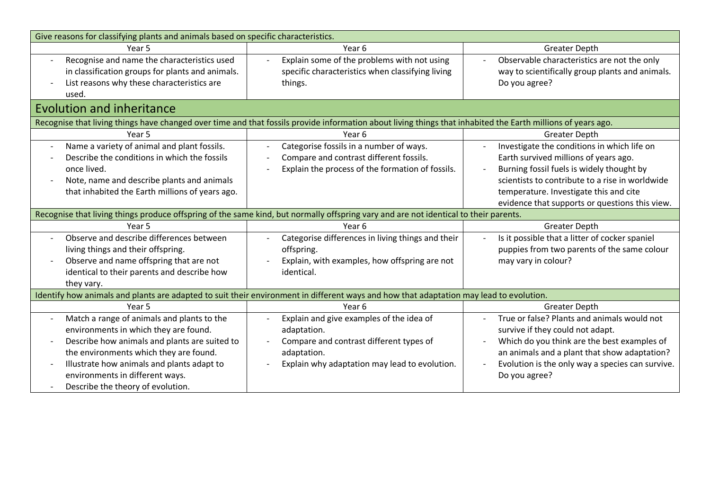| Give reasons for classifying plants and animals based on specific characteristics.                                                                                                                                                                                                                                                                                                                                    |                                                                                                                                                                                                                                                                                                                                                                                                                         |                                                                                                                                                                                                                                                                                                                                                                                                                                  |  |
|-----------------------------------------------------------------------------------------------------------------------------------------------------------------------------------------------------------------------------------------------------------------------------------------------------------------------------------------------------------------------------------------------------------------------|-------------------------------------------------------------------------------------------------------------------------------------------------------------------------------------------------------------------------------------------------------------------------------------------------------------------------------------------------------------------------------------------------------------------------|----------------------------------------------------------------------------------------------------------------------------------------------------------------------------------------------------------------------------------------------------------------------------------------------------------------------------------------------------------------------------------------------------------------------------------|--|
| Year 5                                                                                                                                                                                                                                                                                                                                                                                                                | Year <sub>6</sub>                                                                                                                                                                                                                                                                                                                                                                                                       | <b>Greater Depth</b>                                                                                                                                                                                                                                                                                                                                                                                                             |  |
| Recognise and name the characteristics used<br>$\overline{a}$<br>in classification groups for plants and animals.<br>List reasons why these characteristics are<br>used.                                                                                                                                                                                                                                              | Explain some of the problems with not using<br>specific characteristics when classifying living<br>things.                                                                                                                                                                                                                                                                                                              | Observable characteristics are not the only<br>way to scientifically group plants and animals.<br>Do you agree?                                                                                                                                                                                                                                                                                                                  |  |
| <b>Evolution and inheritance</b>                                                                                                                                                                                                                                                                                                                                                                                      |                                                                                                                                                                                                                                                                                                                                                                                                                         |                                                                                                                                                                                                                                                                                                                                                                                                                                  |  |
|                                                                                                                                                                                                                                                                                                                                                                                                                       | Recognise that living things have changed over time and that fossils provide information about living things that inhabited the Earth millions of years ago.                                                                                                                                                                                                                                                            |                                                                                                                                                                                                                                                                                                                                                                                                                                  |  |
| Year 5                                                                                                                                                                                                                                                                                                                                                                                                                | Year <sub>6</sub>                                                                                                                                                                                                                                                                                                                                                                                                       | <b>Greater Depth</b>                                                                                                                                                                                                                                                                                                                                                                                                             |  |
| Name a variety of animal and plant fossils.<br>$\overline{\phantom{a}}$<br>Describe the conditions in which the fossils<br>once lived.<br>Note, name and describe plants and animals<br>$\overline{\phantom{a}}$<br>that inhabited the Earth millions of years ago.<br>Year <sub>5</sub><br>Observe and describe differences between<br>living things and their offspring.<br>Observe and name offspring that are not | Categorise fossils in a number of ways.<br>Compare and contrast different fossils.<br>Explain the process of the formation of fossils.<br>Recognise that living things produce offspring of the same kind, but normally offspring vary and are not identical to their parents.<br>Year <sub>6</sub><br>Categorise differences in living things and their<br>offspring.<br>Explain, with examples, how offspring are not | Investigate the conditions in which life on<br>Earth survived millions of years ago.<br>Burning fossil fuels is widely thought by<br>scientists to contribute to a rise in worldwide<br>temperature. Investigate this and cite<br>evidence that supports or questions this view.<br><b>Greater Depth</b><br>Is it possible that a litter of cocker spaniel<br>puppies from two parents of the same colour<br>may vary in colour? |  |
| identical to their parents and describe how<br>they vary.                                                                                                                                                                                                                                                                                                                                                             | identical.                                                                                                                                                                                                                                                                                                                                                                                                              |                                                                                                                                                                                                                                                                                                                                                                                                                                  |  |
|                                                                                                                                                                                                                                                                                                                                                                                                                       | Identify how animals and plants are adapted to suit their environment in different ways and how that adaptation may lead to evolution.                                                                                                                                                                                                                                                                                  |                                                                                                                                                                                                                                                                                                                                                                                                                                  |  |
| Year 5                                                                                                                                                                                                                                                                                                                                                                                                                | Year 6                                                                                                                                                                                                                                                                                                                                                                                                                  | <b>Greater Depth</b>                                                                                                                                                                                                                                                                                                                                                                                                             |  |
| Match a range of animals and plants to the<br>$\overline{\phantom{a}}$<br>environments in which they are found.<br>Describe how animals and plants are suited to<br>$\overline{\phantom{a}}$<br>the environments which they are found.<br>Illustrate how animals and plants adapt to<br>$\overline{\phantom{a}}$<br>environments in different ways.<br>Describe the theory of evolution.                              | Explain and give examples of the idea of<br>adaptation.<br>Compare and contrast different types of<br>adaptation.<br>Explain why adaptation may lead to evolution.                                                                                                                                                                                                                                                      | True or false? Plants and animals would not<br>survive if they could not adapt.<br>Which do you think are the best examples of<br>an animals and a plant that show adaptation?<br>Evolution is the only way a species can survive.<br>Do you agree?                                                                                                                                                                              |  |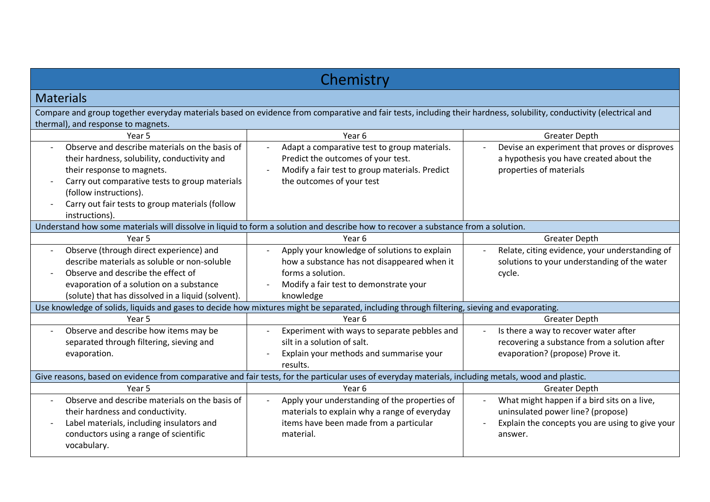| Chemistry                                                                                                                                                                                                                                                                     |                                                                                                                                                                         |                                                                                                                                                                            |  |
|-------------------------------------------------------------------------------------------------------------------------------------------------------------------------------------------------------------------------------------------------------------------------------|-------------------------------------------------------------------------------------------------------------------------------------------------------------------------|----------------------------------------------------------------------------------------------------------------------------------------------------------------------------|--|
| <b>Materials</b>                                                                                                                                                                                                                                                              |                                                                                                                                                                         |                                                                                                                                                                            |  |
| thermal), and response to magnets.                                                                                                                                                                                                                                            | Compare and group together everyday materials based on evidence from comparative and fair tests, including their hardness, solubility, conductivity (electrical and     |                                                                                                                                                                            |  |
| Year <sub>5</sub>                                                                                                                                                                                                                                                             | Year <sub>6</sub>                                                                                                                                                       | <b>Greater Depth</b>                                                                                                                                                       |  |
| Observe and describe materials on the basis of<br>their hardness, solubility, conductivity and<br>their response to magnets.<br>Carry out comparative tests to group materials<br>(follow instructions).<br>Carry out fair tests to group materials (follow<br>instructions). | Adapt a comparative test to group materials.<br>Predict the outcomes of your test.<br>Modify a fair test to group materials. Predict<br>the outcomes of your test       | Devise an experiment that proves or disproves<br>a hypothesis you have created about the<br>properties of materials                                                        |  |
| Understand how some materials will dissolve in liquid to form a solution and describe how to recover a substance from a solution.                                                                                                                                             |                                                                                                                                                                         |                                                                                                                                                                            |  |
| Year 5                                                                                                                                                                                                                                                                        | Year 6                                                                                                                                                                  | <b>Greater Depth</b>                                                                                                                                                       |  |
| Observe (through direct experience) and<br>describe materials as soluble or non-soluble<br>Observe and describe the effect of<br>evaporation of a solution on a substance<br>(solute) that has dissolved in a liquid (solvent).                                               | Apply your knowledge of solutions to explain<br>how a substance has not disappeared when it<br>forms a solution.<br>Modify a fair test to demonstrate your<br>knowledge | Relate, citing evidence, your understanding of<br>$\sim$<br>solutions to your understanding of the water<br>cycle.                                                         |  |
|                                                                                                                                                                                                                                                                               | Use knowledge of solids, liquids and gases to decide how mixtures might be separated, including through filtering, sieving and evaporating.                             |                                                                                                                                                                            |  |
| Year 5                                                                                                                                                                                                                                                                        | Year 6                                                                                                                                                                  | <b>Greater Depth</b>                                                                                                                                                       |  |
| Observe and describe how items may be<br>separated through filtering, sieving and<br>evaporation.                                                                                                                                                                             | Experiment with ways to separate pebbles and<br>silt in a solution of salt.<br>Explain your methods and summarise your<br>results.                                      | Is there a way to recover water after<br>$\overline{\phantom{a}}$<br>recovering a substance from a solution after<br>evaporation? (propose) Prove it.                      |  |
| Give reasons, based on evidence from comparative and fair tests, for the particular uses of everyday materials, including metals, wood and plastic.                                                                                                                           |                                                                                                                                                                         |                                                                                                                                                                            |  |
| Year 5                                                                                                                                                                                                                                                                        | Year 6                                                                                                                                                                  | <b>Greater Depth</b>                                                                                                                                                       |  |
| Observe and describe materials on the basis of<br>their hardness and conductivity.<br>Label materials, including insulators and<br>conductors using a range of scientific<br>vocabulary.                                                                                      | Apply your understanding of the properties of<br>materials to explain why a range of everyday<br>items have been made from a particular<br>material.                    | What might happen if a bird sits on a live,<br>uninsulated power line? (propose)<br>Explain the concepts you are using to give your<br>$\overline{\phantom{a}}$<br>answer. |  |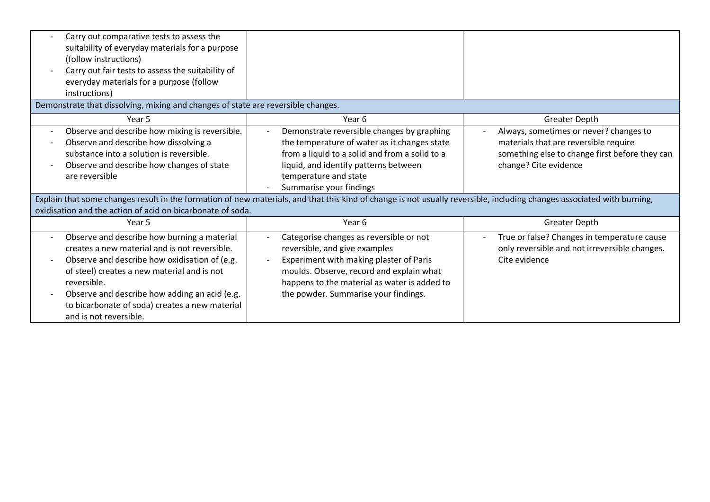| Carry out comparative tests to assess the<br>suitability of everyday materials for a purpose<br>(follow instructions)<br>Carry out fair tests to assess the suitability of<br>everyday materials for a purpose (follow<br>instructions)                                                                                                                              |                                                                                                                                                                                                                                                         |                                                                                                                                                            |  |
|----------------------------------------------------------------------------------------------------------------------------------------------------------------------------------------------------------------------------------------------------------------------------------------------------------------------------------------------------------------------|---------------------------------------------------------------------------------------------------------------------------------------------------------------------------------------------------------------------------------------------------------|------------------------------------------------------------------------------------------------------------------------------------------------------------|--|
| Demonstrate that dissolving, mixing and changes of state are reversible changes.                                                                                                                                                                                                                                                                                     |                                                                                                                                                                                                                                                         |                                                                                                                                                            |  |
| Year 5                                                                                                                                                                                                                                                                                                                                                               | Year 6                                                                                                                                                                                                                                                  | <b>Greater Depth</b>                                                                                                                                       |  |
| Observe and describe how mixing is reversible.<br>Observe and describe how dissolving a<br>substance into a solution is reversible.<br>Observe and describe how changes of state<br>are reversible                                                                                                                                                                   | Demonstrate reversible changes by graphing<br>the temperature of water as it changes state<br>from a liquid to a solid and from a solid to a<br>liquid, and identify patterns between<br>temperature and state<br>Summarise your findings               | Always, sometimes or never? changes to<br>materials that are reversible require<br>something else to change first before they can<br>change? Cite evidence |  |
| Explain that some changes result in the formation of new materials, and that this kind of change is not usually reversible, including changes associated with burning,                                                                                                                                                                                               |                                                                                                                                                                                                                                                         |                                                                                                                                                            |  |
| oxidisation and the action of acid on bicarbonate of soda.                                                                                                                                                                                                                                                                                                           |                                                                                                                                                                                                                                                         |                                                                                                                                                            |  |
| Year 5                                                                                                                                                                                                                                                                                                                                                               | Year <sub>6</sub>                                                                                                                                                                                                                                       | <b>Greater Depth</b>                                                                                                                                       |  |
| Observe and describe how burning a material<br>$\overline{\phantom{a}}$<br>creates a new material and is not reversible.<br>Observe and describe how oxidisation of (e.g.<br>of steel) creates a new material and is not<br>reversible.<br>Observe and describe how adding an acid (e.g.<br>to bicarbonate of soda) creates a new material<br>and is not reversible. | Categorise changes as reversible or not<br>reversible, and give examples<br>Experiment with making plaster of Paris<br>moulds. Observe, record and explain what<br>happens to the material as water is added to<br>the powder. Summarise your findings. | True or false? Changes in temperature cause<br>only reversible and not irreversible changes.<br>Cite evidence                                              |  |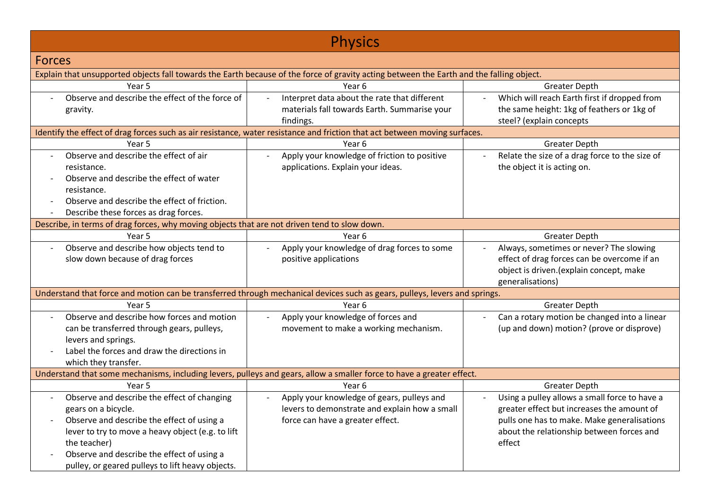| <b>Physics</b>                                                                               |                                                                                                                                          |                                                                       |
|----------------------------------------------------------------------------------------------|------------------------------------------------------------------------------------------------------------------------------------------|-----------------------------------------------------------------------|
| <b>Forces</b>                                                                                |                                                                                                                                          |                                                                       |
|                                                                                              | Explain that unsupported objects fall towards the Earth because of the force of gravity acting between the Earth and the falling object. |                                                                       |
| Year 5                                                                                       | Year 6                                                                                                                                   | <b>Greater Depth</b>                                                  |
| Observe and describe the effect of the force of                                              | Interpret data about the rate that different                                                                                             | Which will reach Earth first if dropped from                          |
| gravity.                                                                                     | materials fall towards Earth. Summarise your                                                                                             | the same height: 1kg of feathers or 1kg of                            |
|                                                                                              | findings.                                                                                                                                | steel? (explain concepts                                              |
|                                                                                              | Identify the effect of drag forces such as air resistance, water resistance and friction that act between moving surfaces.               |                                                                       |
| Year 5                                                                                       | Year 6                                                                                                                                   | <b>Greater Depth</b>                                                  |
| Observe and describe the effect of air                                                       | Apply your knowledge of friction to positive                                                                                             | Relate the size of a drag force to the size of                        |
| resistance.                                                                                  | applications. Explain your ideas.                                                                                                        | the object it is acting on.                                           |
| Observe and describe the effect of water                                                     |                                                                                                                                          |                                                                       |
| resistance.                                                                                  |                                                                                                                                          |                                                                       |
| Observe and describe the effect of friction.                                                 |                                                                                                                                          |                                                                       |
| Describe these forces as drag forces.                                                        |                                                                                                                                          |                                                                       |
| Describe, in terms of drag forces, why moving objects that are not driven tend to slow down. |                                                                                                                                          |                                                                       |
| Year 5                                                                                       | Year 6                                                                                                                                   | <b>Greater Depth</b>                                                  |
| Observe and describe how objects tend to                                                     | Apply your knowledge of drag forces to some                                                                                              | Always, sometimes or never? The slowing                               |
| slow down because of drag forces                                                             | positive applications                                                                                                                    | effect of drag forces can be overcome if an                           |
|                                                                                              |                                                                                                                                          | object is driven. (explain concept, make                              |
|                                                                                              |                                                                                                                                          | generalisations)                                                      |
|                                                                                              | Understand that force and motion can be transferred through mechanical devices such as gears, pulleys, levers and springs.               |                                                                       |
| Year 5                                                                                       | Year 6                                                                                                                                   | <b>Greater Depth</b>                                                  |
| Observe and describe how forces and motion                                                   | Apply your knowledge of forces and<br>$\overline{\phantom{a}}$                                                                           | Can a rotary motion be changed into a linear                          |
| can be transferred through gears, pulleys,                                                   | movement to make a working mechanism.                                                                                                    | (up and down) motion? (prove or disprove)                             |
| levers and springs.                                                                          |                                                                                                                                          |                                                                       |
| Label the forces and draw the directions in                                                  |                                                                                                                                          |                                                                       |
| which they transfer.                                                                         |                                                                                                                                          |                                                                       |
| Year 5                                                                                       | Understand that some mechanisms, including levers, pulleys and gears, allow a smaller force to have a greater effect.                    |                                                                       |
| Observe and describe the effect of changing                                                  | Year 6<br>Apply your knowledge of gears, pulleys and<br>$\overline{\phantom{m}}$                                                         | <b>Greater Depth</b><br>Using a pulley allows a small force to have a |
| gears on a bicycle.                                                                          | levers to demonstrate and explain how a small                                                                                            | greater effect but increases the amount of                            |
| Observe and describe the effect of using a                                                   | force can have a greater effect.                                                                                                         | pulls one has to make. Make generalisations                           |
| lever to try to move a heavy object (e.g. to lift                                            |                                                                                                                                          | about the relationship between forces and                             |
| the teacher)                                                                                 |                                                                                                                                          | effect                                                                |
| Observe and describe the effect of using a                                                   |                                                                                                                                          |                                                                       |
| pulley, or geared pulleys to lift heavy objects.                                             |                                                                                                                                          |                                                                       |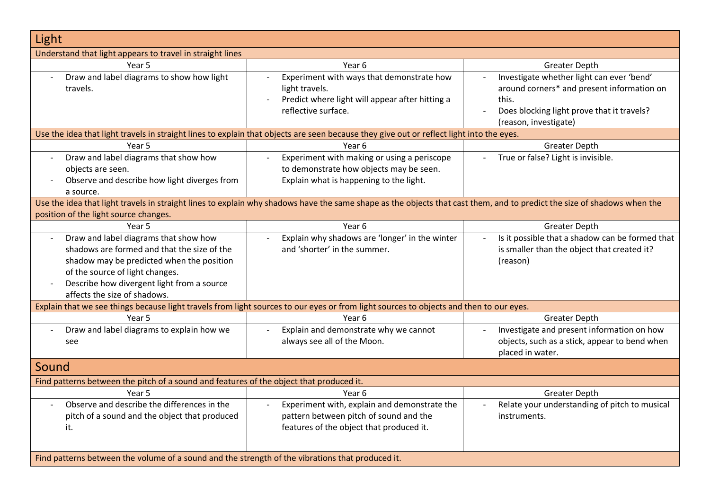| Light                                                                                            |                                                                                                                                                                         |                                                                        |
|--------------------------------------------------------------------------------------------------|-------------------------------------------------------------------------------------------------------------------------------------------------------------------------|------------------------------------------------------------------------|
| Understand that light appears to travel in straight lines                                        |                                                                                                                                                                         |                                                                        |
| Year 5                                                                                           | Year 6                                                                                                                                                                  | <b>Greater Depth</b>                                                   |
| Draw and label diagrams to show how light<br>$\overline{a}$                                      | Experiment with ways that demonstrate how                                                                                                                               | Investigate whether light can ever 'bend'                              |
| travels.                                                                                         | light travels.                                                                                                                                                          | around corners* and present information on                             |
|                                                                                                  | Predict where light will appear after hitting a                                                                                                                         | this.                                                                  |
|                                                                                                  | reflective surface.                                                                                                                                                     | Does blocking light prove that it travels?                             |
|                                                                                                  |                                                                                                                                                                         | (reason, investigate)                                                  |
|                                                                                                  | Use the idea that light travels in straight lines to explain that objects are seen because they give out or reflect light into the eyes.<br>Year 6                      |                                                                        |
| Year 5                                                                                           |                                                                                                                                                                         | <b>Greater Depth</b>                                                   |
| Draw and label diagrams that show how                                                            | Experiment with making or using a periscope                                                                                                                             | True or false? Light is invisible.                                     |
| objects are seen.                                                                                | to demonstrate how objects may be seen.                                                                                                                                 |                                                                        |
| Observe and describe how light diverges from                                                     | Explain what is happening to the light.                                                                                                                                 |                                                                        |
| a source.                                                                                        |                                                                                                                                                                         |                                                                        |
| position of the light source changes.                                                            | Use the idea that light travels in straight lines to explain why shadows have the same shape as the objects that cast them, and to predict the size of shadows when the |                                                                        |
| Year 5                                                                                           | Year 6                                                                                                                                                                  | <b>Greater Depth</b>                                                   |
| Draw and label diagrams that show how                                                            | Explain why shadows are 'longer' in the winter                                                                                                                          | Is it possible that a shadow can be formed that                        |
| shadows are formed and that the size of the                                                      | and 'shorter' in the summer.                                                                                                                                            | is smaller than the object that created it?                            |
| shadow may be predicted when the position                                                        |                                                                                                                                                                         | (reason)                                                               |
| of the source of light changes.                                                                  |                                                                                                                                                                         |                                                                        |
| Describe how divergent light from a source                                                       |                                                                                                                                                                         |                                                                        |
| affects the size of shadows.                                                                     |                                                                                                                                                                         |                                                                        |
|                                                                                                  | Explain that we see things because light travels from light sources to our eyes or from light sources to objects and then to our eyes.                                  |                                                                        |
| Year 5                                                                                           | Year 6                                                                                                                                                                  | <b>Greater Depth</b>                                                   |
| Draw and label diagrams to explain how we<br>$\overline{\phantom{a}}$                            | Explain and demonstrate why we cannot<br>$\overline{\phantom{a}}$                                                                                                       | Investigate and present information on how<br>$\overline{\phantom{a}}$ |
| see                                                                                              | always see all of the Moon.                                                                                                                                             | objects, such as a stick, appear to bend when                          |
|                                                                                                  |                                                                                                                                                                         | placed in water.                                                       |
| Sound                                                                                            |                                                                                                                                                                         |                                                                        |
| Find patterns between the pitch of a sound and features of the object that produced it.          |                                                                                                                                                                         |                                                                        |
| Year 5                                                                                           | Year 6                                                                                                                                                                  | <b>Greater Depth</b>                                                   |
| Observe and describe the differences in the<br>$\overline{\phantom{a}}$                          | Experiment with, explain and demonstrate the                                                                                                                            | Relate your understanding of pitch to musical                          |
| pitch of a sound and the object that produced                                                    | pattern between pitch of sound and the                                                                                                                                  | instruments.                                                           |
| it.                                                                                              | features of the object that produced it.                                                                                                                                |                                                                        |
|                                                                                                  |                                                                                                                                                                         |                                                                        |
| Find patterns between the volume of a sound and the strength of the vibrations that produced it. |                                                                                                                                                                         |                                                                        |
|                                                                                                  |                                                                                                                                                                         |                                                                        |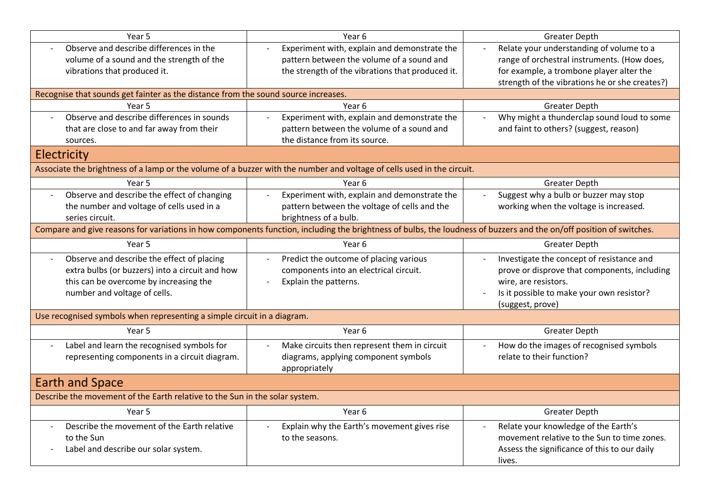| Year 5                                                                                                                                                              | Year 6                                                                                                                 | <b>Greater Depth</b>                                                  |
|---------------------------------------------------------------------------------------------------------------------------------------------------------------------|------------------------------------------------------------------------------------------------------------------------|-----------------------------------------------------------------------|
| Observe and describe differences in the                                                                                                                             | Experiment with, explain and demonstrate the                                                                           | Relate your understanding of volume to a                              |
| volume of a sound and the strength of the                                                                                                                           | pattern between the volume of a sound and                                                                              | range of orchestral instruments. (How does,                           |
| vibrations that produced it.                                                                                                                                        | the strength of the vibrations that produced it.                                                                       | for example, a trombone player alter the                              |
|                                                                                                                                                                     |                                                                                                                        | strength of the vibrations he or she creates?)                        |
| Recognise that sounds get fainter as the distance from the sound source increases.                                                                                  |                                                                                                                        |                                                                       |
| Year <sub>5</sub>                                                                                                                                                   | Year 6                                                                                                                 | <b>Greater Depth</b>                                                  |
| Observe and describe differences in sounds<br>$\blacksquare$                                                                                                        | Experiment with, explain and demonstrate the                                                                           | Why might a thunderclap sound loud to some                            |
| that are close to and far away from their                                                                                                                           | pattern between the volume of a sound and                                                                              | and faint to others? (suggest, reason)                                |
| sources.                                                                                                                                                            | the distance from its source.                                                                                          |                                                                       |
| Electricity                                                                                                                                                         |                                                                                                                        |                                                                       |
|                                                                                                                                                                     | Associate the brightness of a lamp or the volume of a buzzer with the number and voltage of cells used in the circuit. |                                                                       |
| Year 5                                                                                                                                                              | Year 6                                                                                                                 | <b>Greater Depth</b>                                                  |
| Observe and describe the effect of changing<br>$\overline{\phantom{a}}$                                                                                             | Experiment with, explain and demonstrate the                                                                           | Suggest why a bulb or buzzer may stop                                 |
| the number and voltage of cells used in a                                                                                                                           | pattern between the voltage of cells and the                                                                           | working when the voltage is increased.                                |
| series circuit.                                                                                                                                                     | brightness of a bulb.                                                                                                  |                                                                       |
| Compare and give reasons for variations in how components function, including the brightness of bulbs, the loudness of buzzers and the on/off position of switches. |                                                                                                                        |                                                                       |
| Year 5                                                                                                                                                              | Year 6                                                                                                                 | <b>Greater Depth</b>                                                  |
| Observe and describe the effect of placing<br>$\overline{a}$                                                                                                        | Predict the outcome of placing various<br>$\overline{a}$                                                               | Investigate the concept of resistance and<br>$\overline{\phantom{a}}$ |
| extra bulbs (or buzzers) into a circuit and how                                                                                                                     | components into an electrical circuit.                                                                                 | prove or disprove that components, including                          |
| this can be overcome by increasing the                                                                                                                              | Explain the patterns.                                                                                                  | wire, are resistors.                                                  |
| number and voltage of cells.                                                                                                                                        |                                                                                                                        | Is it possible to make your own resistor?                             |
|                                                                                                                                                                     |                                                                                                                        | (suggest, prove)                                                      |
| Use recognised symbols when representing a simple circuit in a diagram.                                                                                             |                                                                                                                        |                                                                       |
| Year 5                                                                                                                                                              | Year 6                                                                                                                 | <b>Greater Depth</b>                                                  |
| Label and learn the recognised symbols for                                                                                                                          | Make circuits then represent them in circuit                                                                           | How do the images of recognised symbols                               |
| representing components in a circuit diagram.                                                                                                                       | diagrams, applying component symbols                                                                                   | relate to their function?                                             |
|                                                                                                                                                                     | appropriately                                                                                                          |                                                                       |
| <b>Earth and Space</b>                                                                                                                                              |                                                                                                                        |                                                                       |
| Describe the movement of the Earth relative to the Sun in the solar system.                                                                                         |                                                                                                                        |                                                                       |
| Year 5                                                                                                                                                              | Year <sub>6</sub>                                                                                                      | <b>Greater Depth</b>                                                  |
| Describe the movement of the Earth relative<br>$\overline{\phantom{a}}$                                                                                             | Explain why the Earth's movement gives rise                                                                            | Relate your knowledge of the Earth's                                  |
| to the Sun                                                                                                                                                          | to the seasons.                                                                                                        | movement relative to the Sun to time zones.                           |
| Label and describe our solar system.                                                                                                                                |                                                                                                                        | Assess the significance of this to our daily                          |
|                                                                                                                                                                     |                                                                                                                        | lives.                                                                |